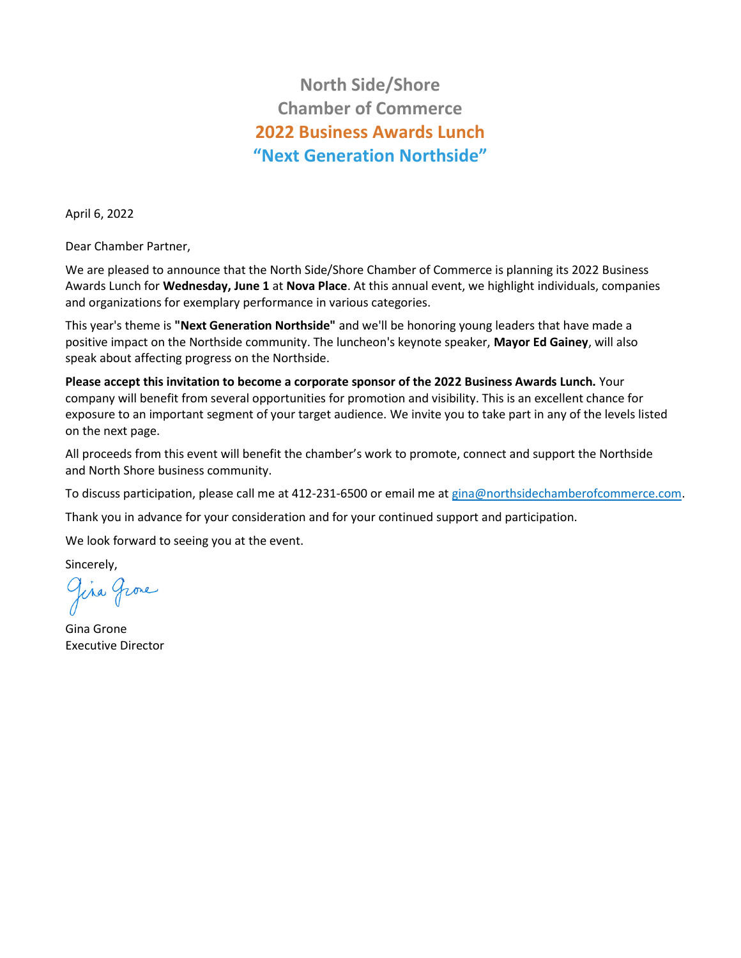## **North Side/Shore Chamber of Commerce 2022 Business Awards Lunch "Next Generation Northside"**

April 6, 2022

Dear Chamber Partner,

We are pleased to announce that the North Side/Shore Chamber of Commerce is planning its 2022 Business Awards Lunch for **Wednesday, June 1** at **Nova Place**. At this annual event, we highlight individuals, companies and organizations for exemplary performance in various categories.

This year's theme is **"Next Generation Northside"** and we'll be honoring young leaders that have made a positive impact on the Northside community. The luncheon's keynote speaker, **Mayor Ed Gainey**, will also speak about affecting progress on the Northside.

**Please accept this invitation to become a corporate sponsor of the 2022 Business Awards Lunch.** Your company will benefit from several opportunities for promotion and visibility. This is an excellent chance for exposure to an important segment of your target audience. We invite you to take part in any of the levels listed on the next page.

All proceeds from this event will benefit the chamber's work to promote, connect and support the Northside and North Shore business community.

To discuss participation, please call me at 412-231-6500 or email me at gina@northsidechamberofcommerce.com.

Thank you in advance for your consideration and for your continued support and participation.

We look forward to seeing you at the event.

Sincerely,

Jira Grove

Gina Grone Executive Director